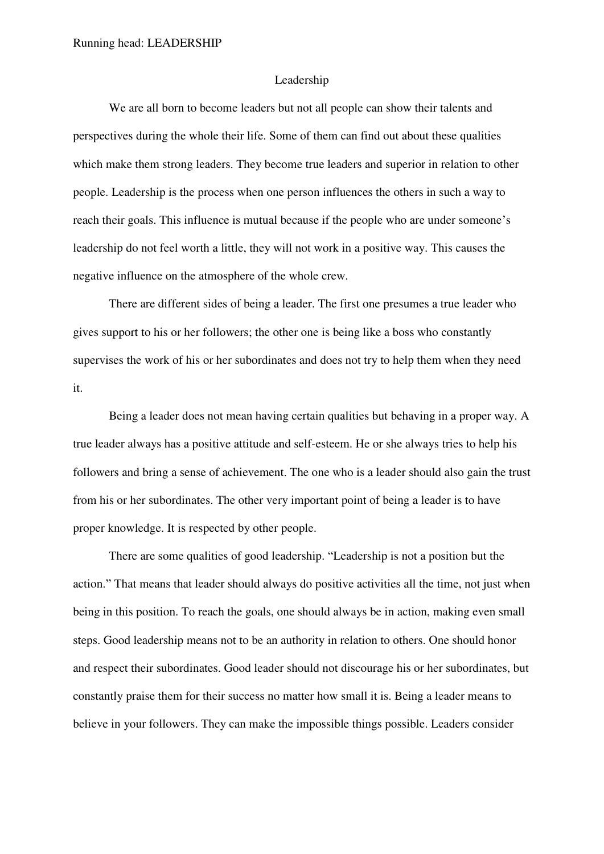## Leadership

We are all born to become leaders but not all people can show their talents and perspectives during the whole their life. Some of them can find out about these qualities which make them strong leaders. They become true leaders and superior in relation to other people. Leadership is the process when one person influences the others in such a way to reach their goals. This influence is mutual because if the people who are under someone's leadership do not feel worth a little, they will not work in a positive way. This causes the negative influence on the atmosphere of the whole crew.

There are different sides of being a leader. The first one presumes a true leader who gives support to his or her followers; the other one is being like a boss who constantly supervises the work of his or her subordinates and does not try to help them when they need it.

Being a leader does not mean having certain qualities but behaving in a proper way. A true leader always has a positive attitude and self-esteem. He or she always tries to help his followers and bring a sense of achievement. The one who is a leader should also gain the trust from his or her subordinates. The other very important point of being a leader is to have proper knowledge. It is respected by other people.

There are some qualities of good leadership. "Leadership is not a position but the action." That means that leader should always do positive activities all the time, not just when being in this position. To reach the goals, one should always be in action, making even small steps. Good leadership means not to be an authority in relation to others. One should honor and respect their subordinates. Good leader should not discourage his or her subordinates, but constantly praise them for their success no matter how small it is. Being a leader means to believe in your followers. They can make the impossible things possible. Leaders consider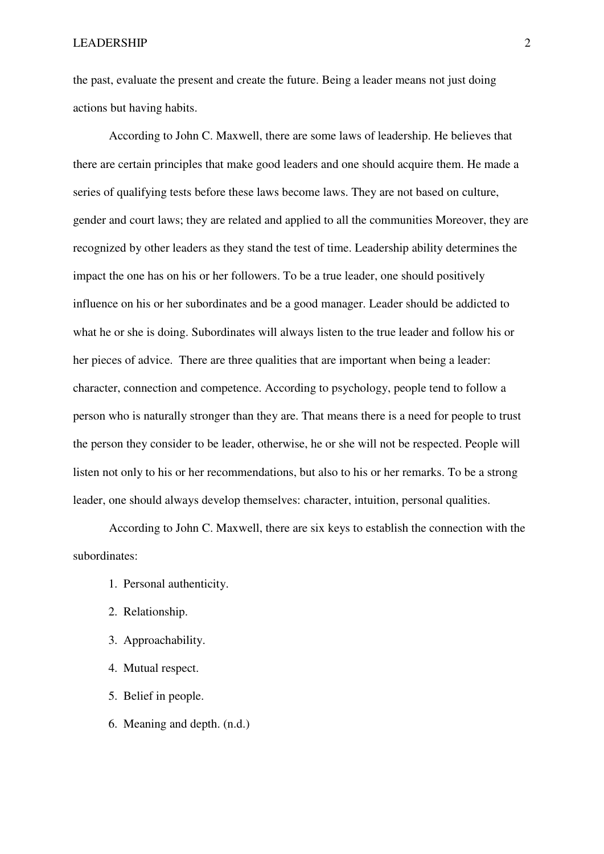the past, evaluate the present and create the future. Being a leader means not just doing actions but having habits.

According to John C. Maxwell, there are some laws of leadership. He believes that there are certain principles that make good leaders and one should acquire them. He made a series of qualifying tests before these laws become laws. They are not based on culture, gender and court laws; they are related and applied to all the communities Moreover, they are recognized by other leaders as they stand the test of time. Leadership ability determines the impact the one has on his or her followers. To be a true leader, one should positively influence on his or her subordinates and be a good manager. Leader should be addicted to what he or she is doing. Subordinates will always listen to the true leader and follow his or her pieces of advice. There are three qualities that are important when being a leader: character, connection and competence. According to psychology, people tend to follow a person who is naturally stronger than they are. That means there is a need for people to trust the person they consider to be leader, otherwise, he or she will not be respected. People will listen not only to his or her recommendations, but also to his or her remarks. To be a strong leader, one should always develop themselves: character, intuition, personal qualities.

According to John C. Maxwell, there are six keys to establish the connection with the subordinates:

- 1. Personal authenticity.
- 2. Relationship.
- 3. Approachability.
- 4. Mutual respect.
- 5. Belief in people.
- 6. Meaning and depth. (n.d.)